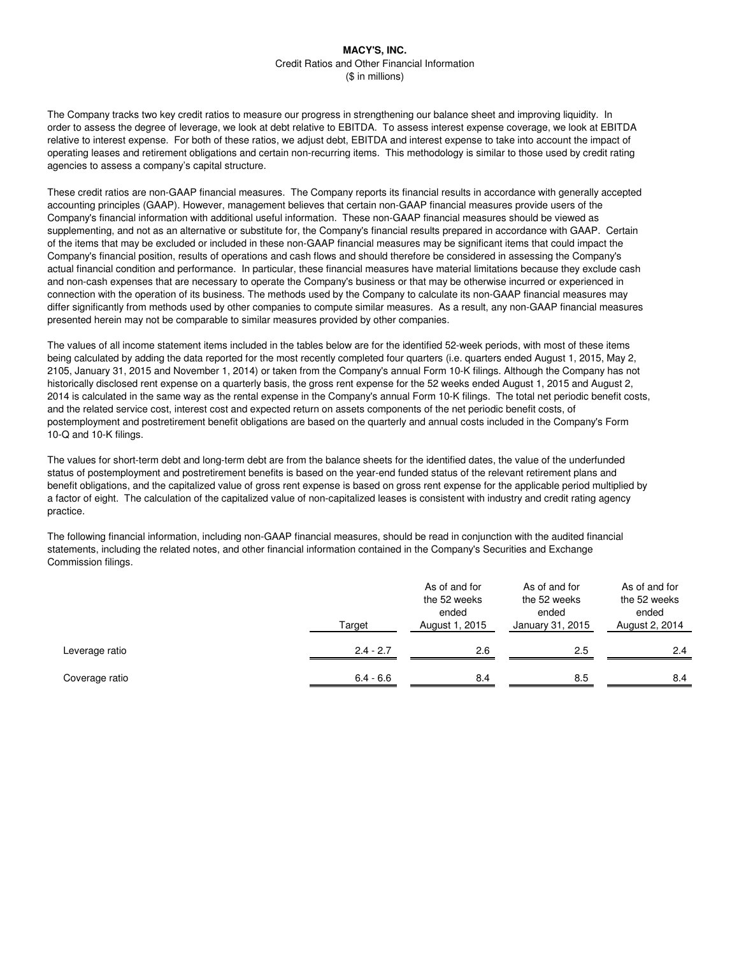The Company tracks two key credit ratios to measure our progress in strengthening our balance sheet and improving liquidity. In order to assess the degree of leverage, we look at debt relative to EBITDA. To assess interest expense coverage, we look at EBITDA relative to interest expense. For both of these ratios, we adjust debt, EBITDA and interest expense to take into account the impact of operating leases and retirement obligations and certain non-recurring items. This methodology is similar to those used by credit rating agencies to assess a company's capital structure.

These credit ratios are non-GAAP financial measures. The Company reports its financial results in accordance with generally accepted accounting principles (GAAP). However, management believes that certain non-GAAP financial measures provide users of the Company's financial information with additional useful information. These non-GAAP financial measures should be viewed as supplementing, and not as an alternative or substitute for, the Company's financial results prepared in accordance with GAAP. Certain of the items that may be excluded or included in these non-GAAP financial measures may be significant items that could impact the Company's financial position, results of operations and cash flows and should therefore be considered in assessing the Company's actual financial condition and performance. In particular, these financial measures have material limitations because they exclude cash and non-cash expenses that are necessary to operate the Company's business or that may be otherwise incurred or experienced in connection with the operation of its business. The methods used by the Company to calculate its non-GAAP financial measures may differ significantly from methods used by other companies to compute similar measures. As a result, any non-GAAP financial measures presented herein may not be comparable to similar measures provided by other companies.

The values of all income statement items included in the tables below are for the identified 52-week periods, with most of these items being calculated by adding the data reported for the most recently completed four quarters (i.e. quarters ended August 1, 2015, May 2, 2105, January 31, 2015 and November 1, 2014) or taken from the Company's annual Form 10-K filings. Although the Company has not historically disclosed rent expense on a quarterly basis, the gross rent expense for the 52 weeks ended August 1, 2015 and August 2, 2014 is calculated in the same way as the rental expense in the Company's annual Form 10-K filings. The total net periodic benefit costs, and the related service cost, interest cost and expected return on assets components of the net periodic benefit costs, of postemployment and postretirement benefit obligations are based on the quarterly and annual costs included in the Company's Form 10-Q and 10-K filings.

The values for short-term debt and long-term debt are from the balance sheets for the identified dates, the value of the underfunded status of postemployment and postretirement benefits is based on the year-end funded status of the relevant retirement plans and benefit obligations, and the capitalized value of gross rent expense is based on gross rent expense for the applicable period multiplied by a factor of eight. The calculation of the capitalized value of non-capitalized leases is consistent with industry and credit rating agency practice.

The following financial information, including non-GAAP financial measures, should be read in conjunction with the audited financial statements, including the related notes, and other financial information contained in the Company's Securities and Exchange Commission filings.

|                | Target      |     | As of and for<br>the 52 weeks<br>ended<br>January 31, 2015 | As of and for<br>the 52 weeks<br>ended<br>August 2, 2014 |  |  |
|----------------|-------------|-----|------------------------------------------------------------|----------------------------------------------------------|--|--|
| Leverage ratio | $2.4 - 2.7$ | 2.6 | 2.5                                                        | 2.4                                                      |  |  |
| Coverage ratio | $6.4 - 6.6$ | 8.4 | 8.5                                                        | 8.4                                                      |  |  |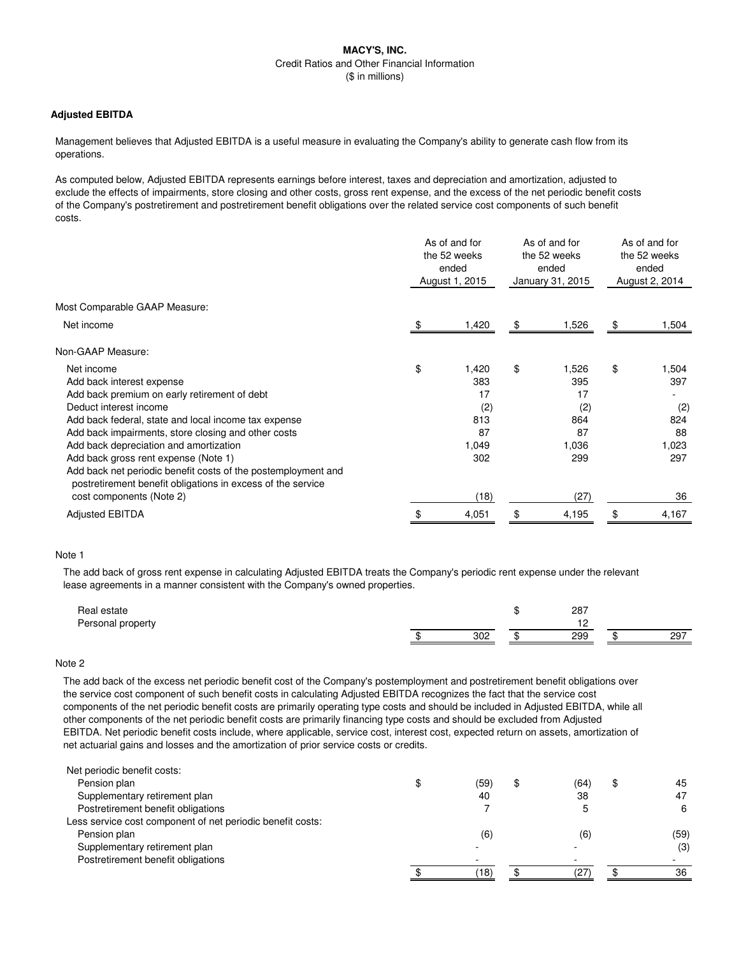## **Adjusted EBITDA**

Management believes that Adjusted EBITDA is a useful measure in evaluating the Company's ability to generate cash flow from its operations.

As computed below, Adjusted EBITDA represents earnings before interest, taxes and depreciation and amortization, adjusted to exclude the effects of impairments, store closing and other costs, gross rent expense, and the excess of the net periodic benefit costs of the Company's postretirement and postretirement benefit obligations over the related service cost components of such benefit costs.

|                                                                                                                              | As of and for<br>the 52 weeks<br>ended<br>August 1, 2015 |       | As of and for<br>the 52 weeks<br>ended<br>January 31, 2015 |       | As of and for<br>the 52 weeks<br>ended<br>August 2, 2014 |       |
|------------------------------------------------------------------------------------------------------------------------------|----------------------------------------------------------|-------|------------------------------------------------------------|-------|----------------------------------------------------------|-------|
| Most Comparable GAAP Measure:                                                                                                |                                                          |       |                                                            |       |                                                          |       |
| Net income                                                                                                                   |                                                          | 1,420 | \$                                                         | 1,526 | \$                                                       | 1,504 |
| Non-GAAP Measure:                                                                                                            |                                                          |       |                                                            |       |                                                          |       |
| Net income                                                                                                                   | \$                                                       | 1,420 | \$                                                         | 1,526 | \$                                                       | 1,504 |
| Add back interest expense                                                                                                    |                                                          | 383   |                                                            | 395   |                                                          | 397   |
| Add back premium on early retirement of debt                                                                                 |                                                          | 17    |                                                            | 17    |                                                          |       |
| Deduct interest income                                                                                                       |                                                          | (2)   |                                                            | (2)   |                                                          | (2)   |
| Add back federal, state and local income tax expense                                                                         |                                                          | 813   |                                                            | 864   |                                                          | 824   |
| Add back impairments, store closing and other costs                                                                          |                                                          | 87    |                                                            | 87    |                                                          | 88    |
| Add back depreciation and amortization                                                                                       |                                                          | 1,049 |                                                            | 1,036 |                                                          | 1,023 |
| Add back gross rent expense (Note 1)                                                                                         |                                                          | 302   |                                                            | 299   |                                                          | 297   |
| Add back net periodic benefit costs of the postemployment and<br>postretirement benefit obligations in excess of the service |                                                          |       |                                                            |       |                                                          |       |
| cost components (Note 2)                                                                                                     |                                                          | (18)  |                                                            | (27)  |                                                          | 36    |
| <b>Adjusted EBITDA</b>                                                                                                       |                                                          | 4,051 | \$                                                         | 4,195 | \$                                                       | 4,167 |

#### Note 1

The add back of gross rent expense in calculating Adjusted EBITDA treats the Company's periodic rent expense under the relevant lease agreements in a manner consistent with the Company's owned properties.

| Real estate<br>Personal property |     | 287 |     |
|----------------------------------|-----|-----|-----|
|                                  | 302 | 299 | 297 |
|                                  |     |     |     |

### Note 2

The add back of the excess net periodic benefit cost of the Company's postemployment and postretirement benefit obligations over the service cost component of such benefit costs in calculating Adjusted EBITDA recognizes the fact that the service cost components of the net periodic benefit costs are primarily operating type costs and should be included in Adjusted EBITDA, while all other components of the net periodic benefit costs are primarily financing type costs and should be excluded from Adjusted EBITDA. Net periodic benefit costs include, where applicable, service cost, interest cost, expected return on assets, amortization of net actuarial gains and losses and the amortization of prior service costs or credits.

| Net periodic benefit costs:                                |            |      |          |
|------------------------------------------------------------|------------|------|----------|
| Pension plan                                               | (59)<br>\$ | (64) | \$<br>45 |
| Supplementary retirement plan                              | 40         | 38   | 47       |
| Postretirement benefit obligations                         |            |      | 6        |
| Less service cost component of net periodic benefit costs: |            |      |          |
| Pension plan                                               | (6)        | (6)  | (59)     |
| Supplementary retirement plan                              | -          |      | (3)      |
| Postretirement benefit obligations                         |            |      |          |
|                                                            | 18)        | (27  | 36       |
|                                                            |            |      |          |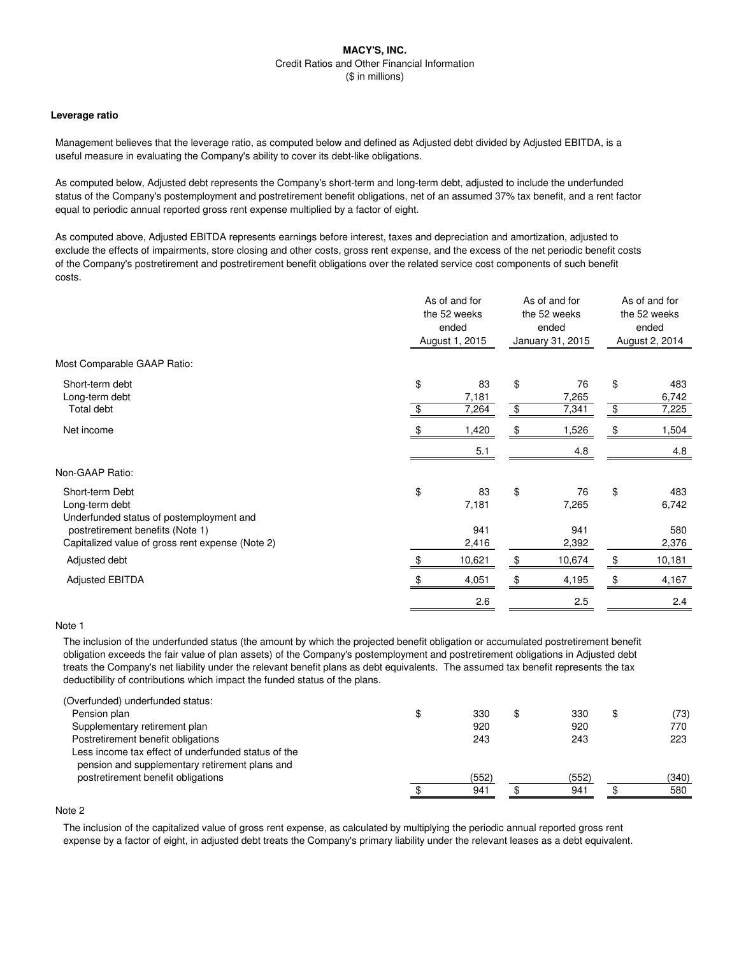#### **Leverage ratio**

Management believes that the leverage ratio, as computed below and defined as Adjusted debt divided by Adjusted EBITDA, is a useful measure in evaluating the Company's ability to cover its debt-like obligations.

As computed below, Adjusted debt represents the Company's short-term and long-term debt, adjusted to include the underfunded status of the Company's postemployment and postretirement benefit obligations, net of an assumed 37% tax benefit, and a rent factor equal to periodic annual reported gross rent expense multiplied by a factor of eight.

As computed above, Adjusted EBITDA represents earnings before interest, taxes and depreciation and amortization, adjusted to exclude the effects of impairments, store closing and other costs, gross rent expense, and the excess of the net periodic benefit costs of the Company's postretirement and postretirement benefit obligations over the related service cost components of such benefit costs.

|                                                                                                                                                                       | As of and for<br>the 52 weeks<br>ended<br>August 1, 2015 |                             | As of and for<br>the 52 weeks<br>ended<br>January 31, 2015 |                             | As of and for<br>the 52 weeks<br>ended<br>August 2, 2014 |                              |
|-----------------------------------------------------------------------------------------------------------------------------------------------------------------------|----------------------------------------------------------|-----------------------------|------------------------------------------------------------|-----------------------------|----------------------------------------------------------|------------------------------|
| Most Comparable GAAP Ratio:                                                                                                                                           |                                                          |                             |                                                            |                             |                                                          |                              |
| Short-term debt<br>Long-term debt<br>Total debt                                                                                                                       | \$<br>\$                                                 | 83<br>7,181<br>7,264        | \$<br>\$                                                   | 76<br>7,265<br>7,341        | \$<br>\$                                                 | 483<br>6,742<br>7,225        |
| Net income                                                                                                                                                            |                                                          | 1,420<br>5.1                | \$                                                         | 1,526<br>4.8                | \$                                                       | 1,504<br>4.8                 |
| Non-GAAP Ratio:                                                                                                                                                       |                                                          |                             |                                                            |                             |                                                          |                              |
| Short-term Debt<br>Long-term debt<br>Underfunded status of postemployment and<br>postretirement benefits (Note 1)<br>Capitalized value of gross rent expense (Note 2) | \$                                                       | 83<br>7,181<br>941<br>2,416 | \$                                                         | 76<br>7,265<br>941<br>2,392 | \$                                                       | 483<br>6,742<br>580<br>2,376 |
| Adjusted debt                                                                                                                                                         | -\$                                                      | 10,621                      | \$                                                         | 10,674                      | \$                                                       | 10,181                       |
| <b>Adjusted EBITDA</b>                                                                                                                                                |                                                          | 4,051                       | \$                                                         | 4,195                       | \$                                                       | 4,167                        |
|                                                                                                                                                                       |                                                          | 2.6                         |                                                            | 2.5                         |                                                          | 2.4                          |

## Note 1

The inclusion of the underfunded status (the amount by which the projected benefit obligation or accumulated postretirement benefit obligation exceeds the fair value of plan assets) of the Company's postemployment and postretirement obligations in Adjusted debt treats the Company's net liability under the relevant benefit plans as debt equivalents. The assumed tax benefit represents the tax deductibility of contributions which impact the funded status of the plans.

| (Overfunded) underfunded status:                    |           |           |            |
|-----------------------------------------------------|-----------|-----------|------------|
| Pension plan                                        | \$<br>330 | \$<br>330 | \$<br>(73) |
| Supplementary retirement plan                       | 920       | 920       | 770        |
| Postretirement benefit obligations                  | 243       | 243       | 223        |
| Less income tax effect of underfunded status of the |           |           |            |
| pension and supplementary retirement plans and      |           |           |            |
| postretirement benefit obligations                  | (552)     | (552)     | (340)      |
|                                                     | 941       | 941       | 580        |

# Note 2

The inclusion of the capitalized value of gross rent expense, as calculated by multiplying the periodic annual reported gross rent expense by a factor of eight, in adjusted debt treats the Company's primary liability under the relevant leases as a debt equivalent.